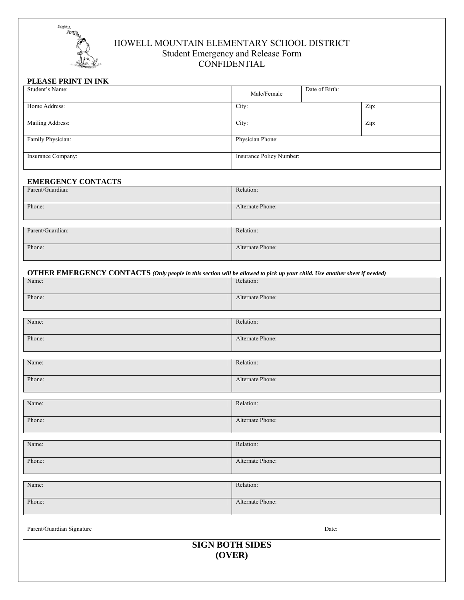

# HOWELL MOUNTAIN ELEMENTARY SCHOOL DISTRICT Student Emergency and Release Form **CONFIDENTIAL**

## **PLEASE PRINT IN INK**

| Student's Name:    | Male/Female              | Date of Birth: |      |
|--------------------|--------------------------|----------------|------|
| Home Address:      | City:                    |                | Zip: |
| Mailing Address:   | City:                    |                | Zip: |
| Family Physician:  | Physician Phone:         |                |      |
| Insurance Company: | Insurance Policy Number: |                |      |

## **EMERGENCY CONTACTS**

| Parent/Guardian: | Relation:        |
|------------------|------------------|
|                  |                  |
| Phone:           | Alternate Phone: |
|                  |                  |
|                  |                  |
| Parent/Guardian: | Relation:        |
|                  |                  |
| Phone:           | Alternate Phone: |
|                  |                  |

| <b>OTHER EMERGENCY CONTACTS</b> (Only people in this section will be allowed to pick up your child. Use another sheet if needed) |                  |  |  |  |
|----------------------------------------------------------------------------------------------------------------------------------|------------------|--|--|--|
| Name:                                                                                                                            | Relation:        |  |  |  |
| Phone:                                                                                                                           | Alternate Phone: |  |  |  |
|                                                                                                                                  |                  |  |  |  |
| Name:                                                                                                                            | Relation:        |  |  |  |
| Phone:                                                                                                                           | Alternate Phone: |  |  |  |
|                                                                                                                                  |                  |  |  |  |
| Name:                                                                                                                            | Relation:        |  |  |  |
| Phone:                                                                                                                           | Alternate Phone: |  |  |  |
|                                                                                                                                  |                  |  |  |  |
| Name:                                                                                                                            | Relation:        |  |  |  |
| Phone:                                                                                                                           | Alternate Phone: |  |  |  |
|                                                                                                                                  |                  |  |  |  |
| Name:                                                                                                                            | Relation:        |  |  |  |
| Phone:                                                                                                                           | Alternate Phone: |  |  |  |
|                                                                                                                                  |                  |  |  |  |
| Name:                                                                                                                            | Relation:        |  |  |  |
| Phone:                                                                                                                           | Alternate Phone: |  |  |  |
| Parent/Guardian Signature                                                                                                        | Date:            |  |  |  |

**SIGN BOTH SIDES (OVER)**